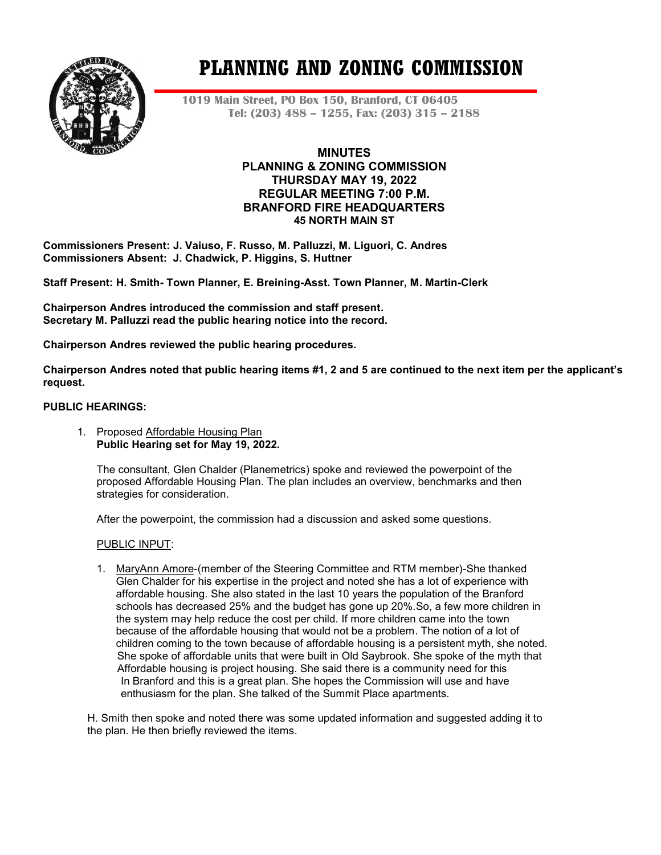

# **PLANNING AND ZONING COMMISSION**

**1019 Main Street, PO Box 150, Branford, CT 06405 Tel: (203) 488 – 1255, Fax: (203) 315 – 2188**

# **MINUTES PLANNING & ZONING COMMISSION THURSDAY MAY 19, 2022 REGULAR MEETING 7:00 P.M. BRANFORD FIRE HEADQUARTERS 45 NORTH MAIN ST**

**Commissioners Present: J. Vaiuso, F. Russo, M. Palluzzi, M. Liguori, C. Andres Commissioners Absent: J. Chadwick, P. Higgins, S. Huttner**

**Staff Present: H. Smith- Town Planner, E. Breining-Asst. Town Planner, M. Martin-Clerk**

**Chairperson Andres introduced the commission and staff present. Secretary M. Palluzzi read the public hearing notice into the record.**

**Chairperson Andres reviewed the public hearing procedures.**

**Chairperson Andres noted that public hearing items #1, 2 and 5 are continued to the next item per the applicant's request.**

## **PUBLIC HEARINGS:**

1. Proposed Affordable Housing Plan **Public Hearing set for May 19, 2022.**

The consultant, Glen Chalder (Planemetrics) spoke and reviewed the powerpoint of the proposed Affordable Housing Plan. The plan includes an overview, benchmarks and then strategies for consideration.

After the powerpoint, the commission had a discussion and asked some questions.

#### PUBLIC INPUT:

1. MaryAnn Amore-(member of the Steering Committee and RTM member)-She thanked Glen Chalder for his expertise in the project and noted she has a lot of experience with affordable housing. She also stated in the last 10 years the population of the Branford schools has decreased 25% and the budget has gone up 20%.So, a few more children in the system may help reduce the cost per child. If more children came into the town because of the affordable housing that would not be a problem. The notion of a lot of children coming to the town because of affordable housing is a persistent myth, she noted. She spoke of affordable units that were built in Old Saybrook. She spoke of the myth that Affordable housing is project housing. She said there is a community need for this In Branford and this is a great plan. She hopes the Commission will use and have enthusiasm for the plan. She talked of the Summit Place apartments.

H. Smith then spoke and noted there was some updated information and suggested adding it to the plan. He then briefly reviewed the items.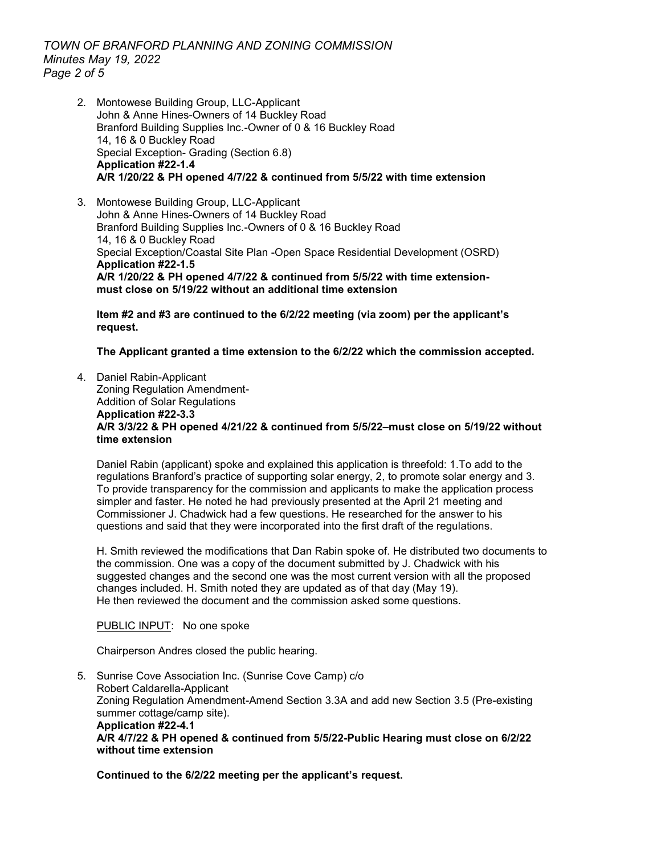*TOWN OF BRANFORD PLANNING AND ZONING COMMISSION Minutes May 19, 2022 Page 2 of 5*

2. Montowese Building Group, LLC-Applicant John & Anne Hines-Owners of 14 Buckley Road Branford Building Supplies Inc.-Owner of 0 & 16 Buckley Road 14, 16 & 0 Buckley Road Special Exception- Grading (Section 6.8) **Application #22-1.4 A/R 1/20/22 & PH opened 4/7/22 & continued from 5/5/22 with time extension**

3. Montowese Building Group, LLC-Applicant John & Anne Hines-Owners of 14 Buckley Road Branford Building Supplies Inc.-Owners of 0 & 16 Buckley Road 14, 16 & 0 Buckley Road Special Exception/Coastal Site Plan -Open Space Residential Development (OSRD) **Application #22-1.5 A/R 1/20/22 & PH opened 4/7/22 & continued from 5/5/22 with time extensionmust close on 5/19/22 without an additional time extension**

**Item #2 and #3 are continued to the 6/2/22 meeting (via zoom) per the applicant's request.**

**The Applicant granted a time extension to the 6/2/22 which the commission accepted.**

4. Daniel Rabin-Applicant Zoning Regulation Amendment-Addition of Solar Regulations **Application #22-3.3 A/R 3/3/22 & PH opened 4/21/22 & continued from 5/5/22–must close on 5/19/22 without time extension**

Daniel Rabin (applicant) spoke and explained this application is threefold: 1.To add to the regulations Branford's practice of supporting solar energy, 2, to promote solar energy and 3. To provide transparency for the commission and applicants to make the application process simpler and faster. He noted he had previously presented at the April 21 meeting and Commissioner J. Chadwick had a few questions. He researched for the answer to his questions and said that they were incorporated into the first draft of the regulations.

H. Smith reviewed the modifications that Dan Rabin spoke of. He distributed two documents to the commission. One was a copy of the document submitted by J. Chadwick with his suggested changes and the second one was the most current version with all the proposed changes included. H. Smith noted they are updated as of that day (May 19). He then reviewed the document and the commission asked some questions.

PUBLIC INPUT: No one spoke

Chairperson Andres closed the public hearing.

5. Sunrise Cove Association Inc. (Sunrise Cove Camp) c/o Robert Caldarella-Applicant Zoning Regulation Amendment-Amend Section 3.3A and add new Section 3.5 (Pre-existing summer cottage/camp site). **Application #22-4.1 A/R 4/7/22 & PH opened & continued from 5/5/22-Public Hearing must close on 6/2/22 without time extension**

**Continued to the 6/2/22 meeting per the applicant's request.**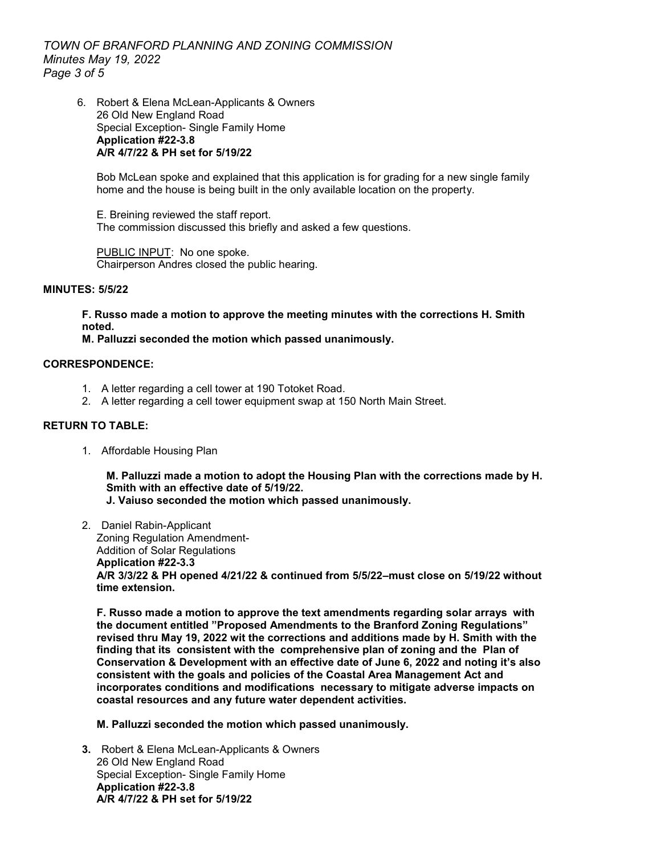*TOWN OF BRANFORD PLANNING AND ZONING COMMISSION Minutes May 19, 2022 Page 3 of 5*

6. Robert & Elena McLean-Applicants & Owners 26 Old New England Road Special Exception- Single Family Home **Application #22-3.8 A/R 4/7/22 & PH set for 5/19/22**

Bob McLean spoke and explained that this application is for grading for a new single family home and the house is being built in the only available location on the property.

E. Breining reviewed the staff report. The commission discussed this briefly and asked a few questions.

PUBLIC INPUT: No one spoke. Chairperson Andres closed the public hearing.

#### **MINUTES: 5/5/22**

**F. Russo made a motion to approve the meeting minutes with the corrections H. Smith noted.**

**M. Palluzzi seconded the motion which passed unanimously.** 

#### **CORRESPONDENCE:**

- 1. A letter regarding a cell tower at 190 Totoket Road.
- 2. A letter regarding a cell tower equipment swap at 150 North Main Street.

#### **RETURN TO TABLE:**

1. Affordable Housing Plan

**M. Palluzzi made a motion to adopt the Housing Plan with the corrections made by H. Smith with an effective date of 5/19/22.**

**J. Vaiuso seconded the motion which passed unanimously.**

2. Daniel Rabin-Applicant Zoning Regulation Amendment-Addition of Solar Regulations **Application #22-3.3 A/R 3/3/22 & PH opened 4/21/22 & continued from 5/5/22–must close on 5/19/22 without time extension.**

**F. Russo made a motion to approve the text amendments regarding solar arrays with the document entitled "Proposed Amendments to the Branford Zoning Regulations" revised thru May 19, 2022 wit the corrections and additions made by H. Smith with the finding that its consistent with the comprehensive plan of zoning and the Plan of Conservation & Development with an effective date of June 6, 2022 and noting it's also consistent with the goals and policies of the Coastal Area Management Act and incorporates conditions and modifications necessary to mitigate adverse impacts on coastal resources and any future water dependent activities.** 

**M. Palluzzi seconded the motion which passed unanimously.** 

**3.** Robert & Elena McLean-Applicants & Owners 26 Old New England Road Special Exception- Single Family Home **Application #22-3.8 A/R 4/7/22 & PH set for 5/19/22**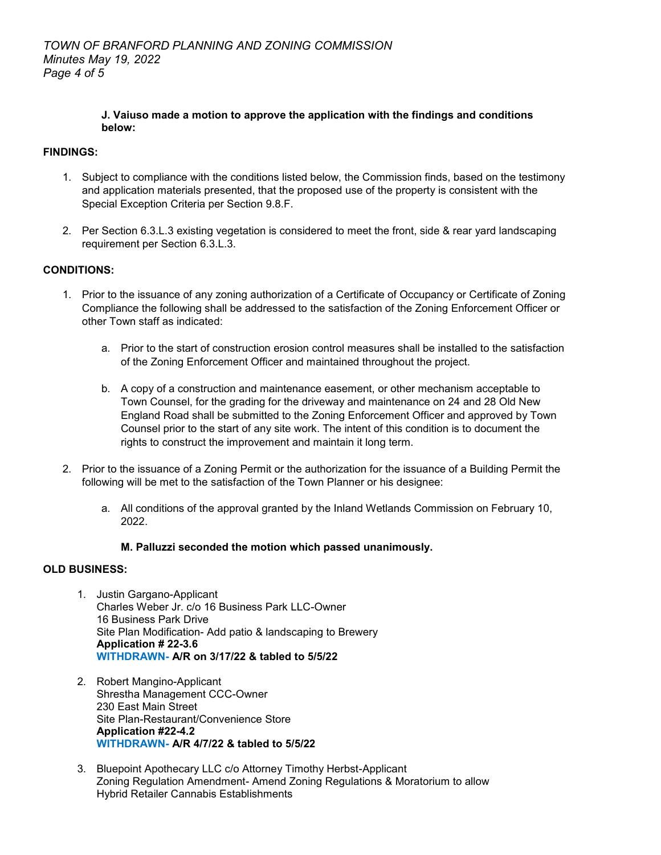## **J. Vaiuso made a motion to approve the application with the findings and conditions below:**

# **FINDINGS:**

- 1. Subject to compliance with the conditions listed below, the Commission finds, based on the testimony and application materials presented, that the proposed use of the property is consistent with the Special Exception Criteria per Section 9.8.F.
- 2. Per Section 6.3.L.3 existing vegetation is considered to meet the front, side & rear yard landscaping requirement per Section 6.3.L.3.

# **CONDITIONS:**

- 1. Prior to the issuance of any zoning authorization of a Certificate of Occupancy or Certificate of Zoning Compliance the following shall be addressed to the satisfaction of the Zoning Enforcement Officer or other Town staff as indicated:
	- a. Prior to the start of construction erosion control measures shall be installed to the satisfaction of the Zoning Enforcement Officer and maintained throughout the project.
	- b. A copy of a construction and maintenance easement, or other mechanism acceptable to Town Counsel, for the grading for the driveway and maintenance on 24 and 28 Old New England Road shall be submitted to the Zoning Enforcement Officer and approved by Town Counsel prior to the start of any site work. The intent of this condition is to document the rights to construct the improvement and maintain it long term.
- 2. Prior to the issuance of a Zoning Permit or the authorization for the issuance of a Building Permit the following will be met to the satisfaction of the Town Planner or his designee:
	- a. All conditions of the approval granted by the Inland Wetlands Commission on February 10, 2022.

## **M. Palluzzi seconded the motion which passed unanimously.**

## **OLD BUSINESS:**

- 1. Justin Gargano-Applicant Charles Weber Jr. c/o 16 Business Park LLC-Owner 16 Business Park Drive Site Plan Modification- Add patio & landscaping to Brewery **Application # 22-3.6 WITHDRAWN- A/R on 3/17/22 & tabled to 5/5/22**
- 2. Robert Mangino-Applicant Shrestha Management CCC-Owner 230 East Main Street Site Plan-Restaurant/Convenience Store **Application #22-4.2 WITHDRAWN- A/R 4/7/22 & tabled to 5/5/22**
- 3. Bluepoint Apothecary LLC c/o Attorney Timothy Herbst-Applicant Zoning Regulation Amendment- Amend Zoning Regulations & Moratorium to allow Hybrid Retailer Cannabis Establishments